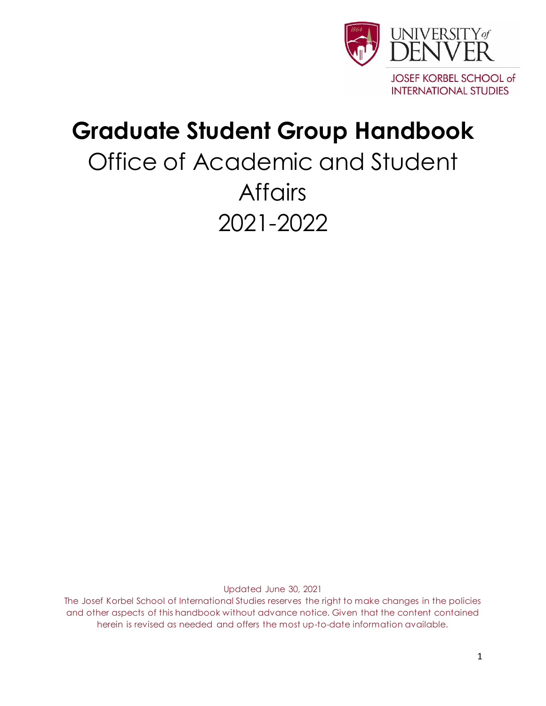

## **Graduate Student Group Handbook**

# Office of Academic and Student **Affairs** 2021-2022

Updated June 30, 2021

The Josef Korbel School of International Studies reserves the right to make changes in the policies and other aspects of this handbook without advance notice. Given that the content contained herein is revised as needed and offers the most up-to-date information available.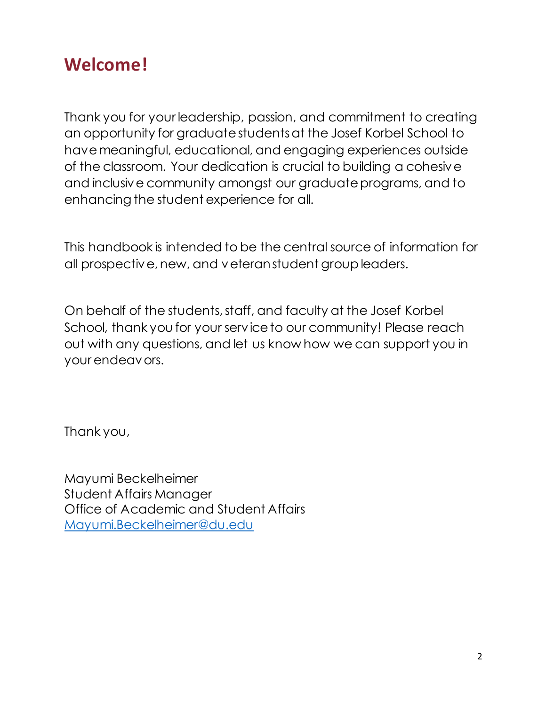## **Welcome!**

Thank you for your leadership, passion, and commitment to creating an opportunity for graduate students at the Josef Korbel School to have meaningful, educational, and engaging experiences outside of the classroom. Your dedication is crucial to building a cohesive and inclusive community amongst our graduate programs, and to enhancing the student experience for all.

This handbook is intended to be the central source of information for all prospective, new, and veteran student group leaders.

On behalf of the students, staff, and faculty at the Josef Korbel School, thank you for your service to our community! Please reach out with any questions, and let us know how we can support you in your endeavors.

Thank you,

Mayumi Beckelheimer Student Affairs Manager Office of Academic and Student Affairs [Mayumi.Beckelheimer@du.edu](mailto:Mayumi.Beckelheimer@du.edu)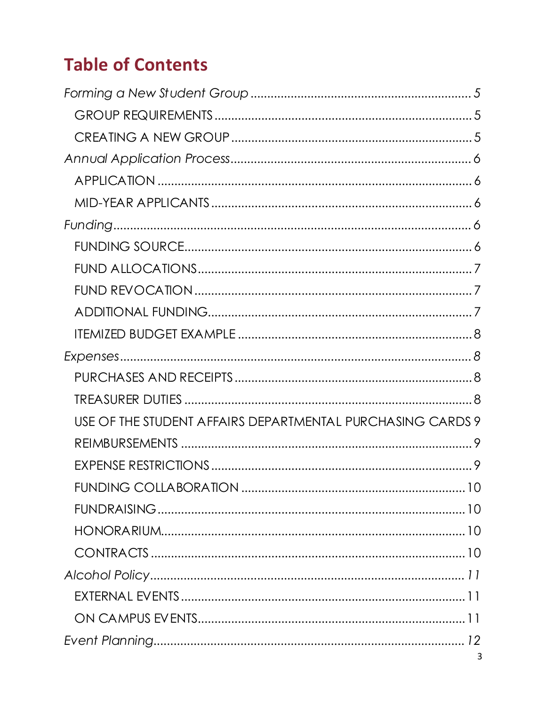## **Table of Contents**

| USE OF THE STUDENT AFFAIRS DEPARTMENTAL PURCHASING CARDS 9 |
|------------------------------------------------------------|
|                                                            |
|                                                            |
|                                                            |
|                                                            |
|                                                            |
|                                                            |
|                                                            |
|                                                            |
|                                                            |
|                                                            |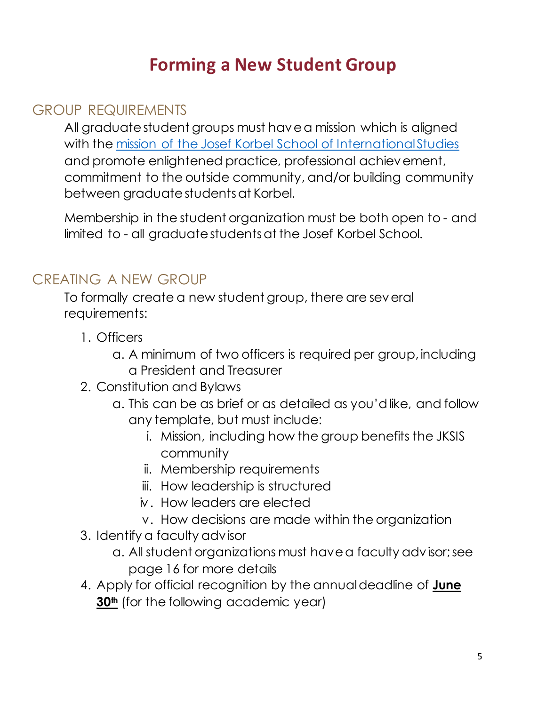## **Forming a New Student Group**

#### <span id="page-4-1"></span><span id="page-4-0"></span>GROUP REQUIREMENTS

All graduate student groups must have a mission which is aligned with the [mission of the Josef Korbel School of International Studies](https://korbel.du.edu/#:~:text=%22Today%2C%20our%20mission%20is%20more,%2C%20and%20promoting%20healthy%20democracy.%22) and promote enlightened practice, professional achievement, commitment to the outside community, and/or building community between graduate students at Korbel.

Membership in the student organization must be both open to - and limited to - all graduate students at the Josef Korbel School.

#### <span id="page-4-2"></span>CREATING A NEW GROUP

To formally create a new student group, there are several requirements:

- 1. Officers
	- a. A minimum of two officers is required per group, including a President and Treasurer
- 2. Constitution and Bylaws
	- a. This can be as brief or as detailed as you'd like, and follow any template, but must include:
		- i. Mission, including how the group benefits the JKSIS community
		- ii. Membership requirements
		- iii. How leadership is structured
		- iv. How leaders are elected
		- v. How decisions are made within the organization
- 3. Identify a faculty advisor
	- a. All student organizations must have a faculty advisor; see page 16 for more details
- 4. Apply for official recognition by the annual deadline of **June 30th** (for the following academic year)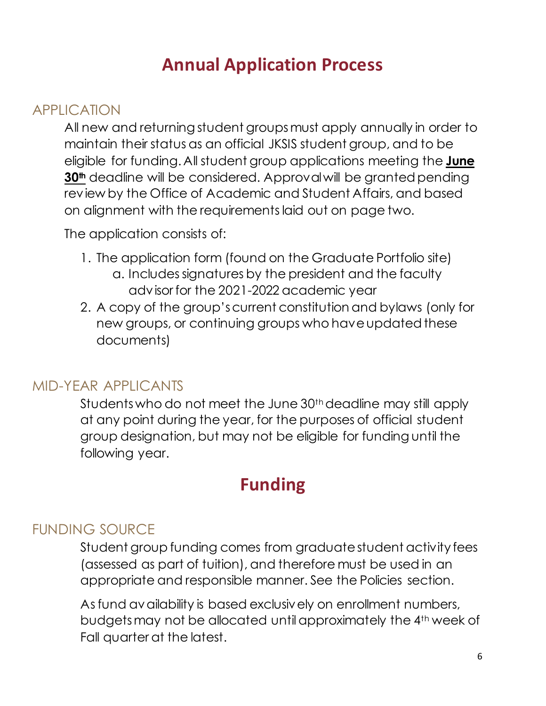### **Annual Application Process**

#### <span id="page-5-1"></span><span id="page-5-0"></span>APPLICATION

All new and returning student groups must apply annually in order to maintain their status as an official JKSIS student group, and to be eligible for funding. All student group applications meeting the **June 30th** deadline will be considered. Approval will be granted pending review by the Office of Academic and Student Affairs, and based on alignment with the requirements laid out on page two.

The application consists of:

- 1. The application form (found on the Graduate Portfolio site) a. Includes signatures by the president and the faculty advisor for the 2021-2022 academic year
- 2. A copy of the group's current constitution and bylaws (only for new groups, or continuing groups who have updated these documents)

#### <span id="page-5-2"></span>MID-YEAR APPLICANTS

Students who do not meet the June 30<sup>th</sup> deadline may still apply at any point during the year, for the purposes of official student group designation, but may not be eligible for funding until the following year.

### **Funding**

#### <span id="page-5-4"></span><span id="page-5-3"></span>FUNDING SOURCE

Student group funding comes from graduate student activity fees (assessed as part of tuition), and therefore must be used in an appropriate and responsible manner. See the Policies section.

As fund availability is based exclusively on enrollment numbers, budgets may not be allocated until approximately the 4th week of Fall quarter at the latest.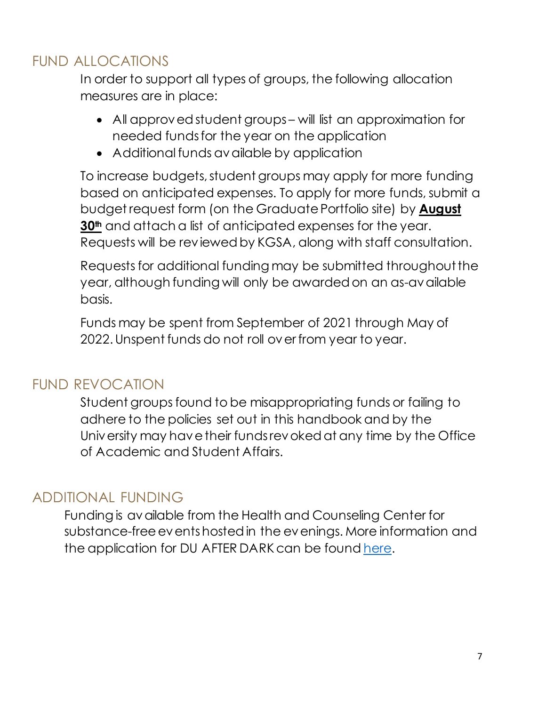#### <span id="page-6-0"></span>FUND ALLOCATIONS

In order to support all types of groups, the following allocation measures are in place:

- All approved student groups will list an approximation for needed funds for the year on the application
- Additional funds available by application

To increase budgets, student groups may apply for more funding based on anticipated expenses. To apply for more funds, submit a budget request form (on the Graduate Portfolio site) by **August 30th** and attach a list of anticipated expenses for the year. Requests will be reviewed by KGSA, along with staff consultation.

Requests for additional funding may be submitted throughout the year, although funding will only be awarded on an as-available basis.

Funds may be spent from September of 2021 through May of 2022.Unspent funds do not roll over from year to year.

#### <span id="page-6-1"></span>FUND REVOCATION

Student groups found to be misappropriating funds or failing to adhere to the policies set out in this handbook and by the University may have their funds revoked at any time by the Office of Academic and Student Affairs.

#### <span id="page-6-2"></span>ADDITIONAL FUNDING

Funding is available from the Health and Counseling Center for substance-free events hosted in the evenings. More information and the application for DU AFTER DARK can be foun[d here.](https://www.du.edu/health-and-counseling-center/healthpromotion/duafterdark.html)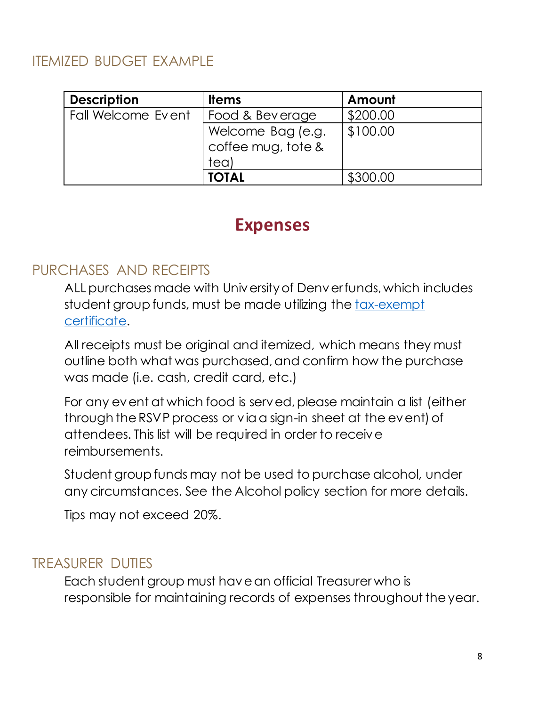#### <span id="page-7-0"></span>ITEMIZED BUDGET EXAMPLE

| <b>Description</b> | <b>Items</b>                                    | Amount   |
|--------------------|-------------------------------------------------|----------|
| Fall Welcome Event | Food & Beverage                                 | \$200.00 |
|                    | Welcome Bag (e.g.<br>coffee mug, tote &<br>tea) | \$100.00 |
|                    | <b>TOTAL</b>                                    | \$300.00 |

#### **Expenses**

#### <span id="page-7-2"></span><span id="page-7-1"></span>PURCHASES AND RECEIPTS

ALL purchases made with University of Denver funds, which includes student group funds, must be made utilizing the [tax-exempt](https://portfolio.du.edu/issta/page/52059)  [certificate.](https://portfolio.du.edu/issta/page/52059)

All receipts must be original and itemized, which means they must outline both what was purchased, and confirm how the purchase was made (i.e. cash, credit card, etc.)

For any event at which food is served, please maintain a list (either through the RSVP process or via a sign-in sheet at the event) of attendees. This list will be required in order to receive reimbursements.

Student group funds may not be used to purchase alcohol, under any circumstances. See the Alcohol policy section for more details.

Tips may not exceed 20%.

#### <span id="page-7-3"></span>TREASURER DUTIES

Each student group must have an official Treasurer who is responsible for maintaining records of expenses throughout the year.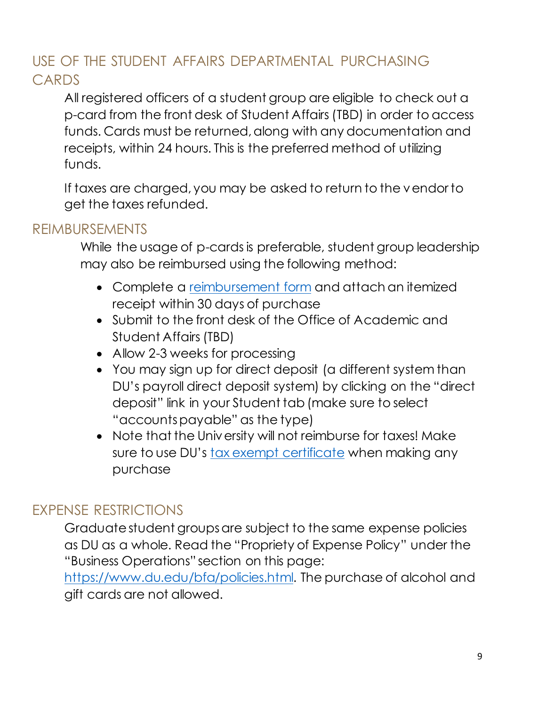#### <span id="page-8-0"></span>USE OF THE STUDENT AFFAIRS DEPARTMENTAL PURCHASING CARDS

All registered officers of a student group are eligible to check out a p-card from the front desk of Student Affairs (TBD) in order to access funds. Cards must be returned, along with any documentation and receipts, within 24 hours. This is the preferred method of utilizing funds.

If taxes are charged, you may be asked to return to the vendor to get the taxes refunded.

#### <span id="page-8-1"></span>REIMBURSEMENTS

While the usage of p-cards is preferable, student group leadership may also be reimbursed using the following method:

- Complete a [reimbursement form](https://portfolio.du.edu/issta/page/52059) and attach an itemized receipt within 30 days of purchase
- Submit to the front desk of the Office of Academic and Student Affairs (TBD)
- Allow 2-3 weeks for processing
- You may sign up for direct deposit (a different system than DU's payroll direct deposit system) by clicking on the "direct deposit" link in your Student tab (make sure to select "accounts payable" as the type)
- Note that the University will not reimburse for taxes! Make sure to use DU's [tax exempt certificate](https://www.du.edu/sharedservices/media/documents/payment/taxexemptforms/cotaxexempt.pdf) when making any purchase

#### <span id="page-8-2"></span>EXPENSE RESTRICTIONS

Graduate student groups are subject to the same expense policies as DU as a whole. Read the "Propriety of Expense Policy" under the "Business Operations" section on this page:

[https://www.du.edu/bfa/policies.html.](https://www.du.edu/bfa/policies.html) The purchase of alcohol and gift cards are not allowed.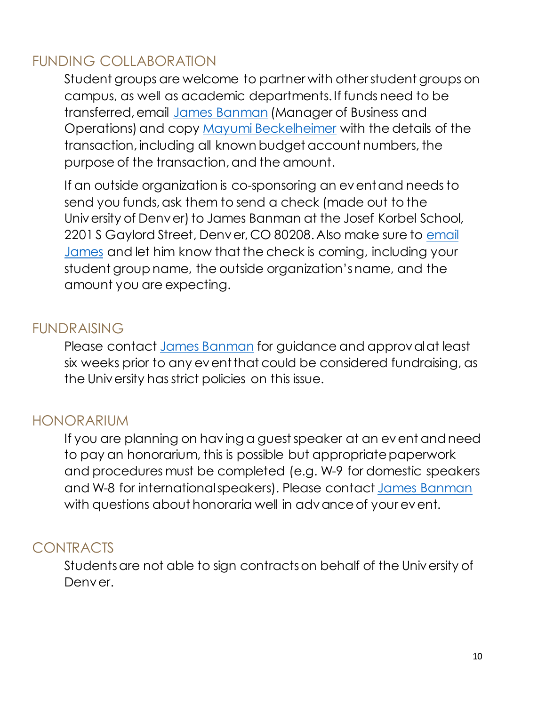#### <span id="page-9-0"></span>FUNDING COLLABORATION

Student groups are welcome to partner with other student groups on campus, as well as academic departments. If funds need to be transferred, email [James](mailto:james.banman@du.edu) Banman (Manager of Business and Operations) and copy [Mayumi Beckelheimer](mailto:mayumi.beckelheimer@du.edu) with the details of the transaction, including all known budget account numbers, the purpose of the transaction, and the amount.

If an outside organization is co-sponsoring an event and needs to send you funds, ask them to send a check (made out to the University of Denver) to James Banman at the Josef Korbel School, 2201 S Gaylord Street, Denver, CO 80208. Also make sure to [email](mailto:james.banman@du.edu)  [James](mailto:james.banman@du.edu) and let him know that the check is coming, including your student group name, the outside organization's name, and the amount you are expecting.

#### <span id="page-9-1"></span>FUNDRAISING

Please contact [James](mailto:james.banman@du.edu) Banman for guidance and approval at least six weeks prior to any event that could be considered fundraising, as the University has strict policies on this issue.

#### <span id="page-9-2"></span>HONORARIUM

If you are planning on having a guest speaker at an event and need to pay an honorarium, this is possible but appropriate paperwork and procedures must be completed (e.g. W-9 for domestic speakers and W-8 for international speakers). Please contact James Banman with questions about honoraria well in advance of your event.

#### <span id="page-9-3"></span>CONTRACTS

Students are not able to sign contracts on behalf of the University of Denver.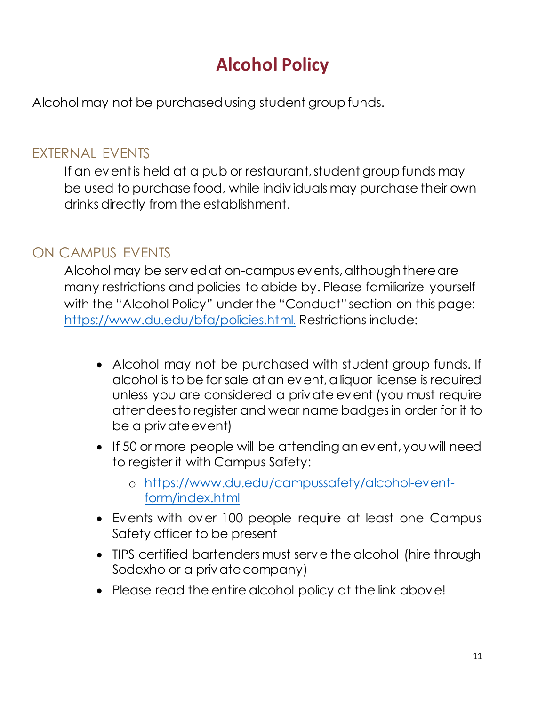## **Alcohol Policy**

<span id="page-10-0"></span>Alcohol may not be purchased using student group funds.

#### <span id="page-10-1"></span>EXTERNAL EVENTS

If an event is held at a pub or restaurant, student group funds may be used to purchase food, while individuals may purchase their own drinks directly from the establishment.

#### <span id="page-10-2"></span>ON CAMPUS EVENTS

Alcohol may be served at on-campus events, although there are many restrictions and policies to abide by. Please familiarize yourself with the "Alcohol Policy" under the "Conduct" section on this page: <https://www.du.edu/bfa/policies.html>. Restrictions include:

- Alcohol may not be purchased with student group funds. If alcohol is to be for sale at an event, a liquor license is required unless you are considered a private event (you must require attendees to register and wear name badges in order for it to be a private event)
- If 50 or more people will be attending an event, you will need to register it with Campus Safety:
	- o [https://www.du.edu/campussafety/alcohol-event](https://www.du.edu/campussafety/alcohol-event-form/index.html)[form/index.html](https://www.du.edu/campussafety/alcohol-event-form/index.html)
- Events with over 100 people require at least one Campus Safety officer to be present
- TIPS certified bartenders must serve the alcohol (hire through Sodexho or a private company)
- Please read the entire alcohol policy at the link above!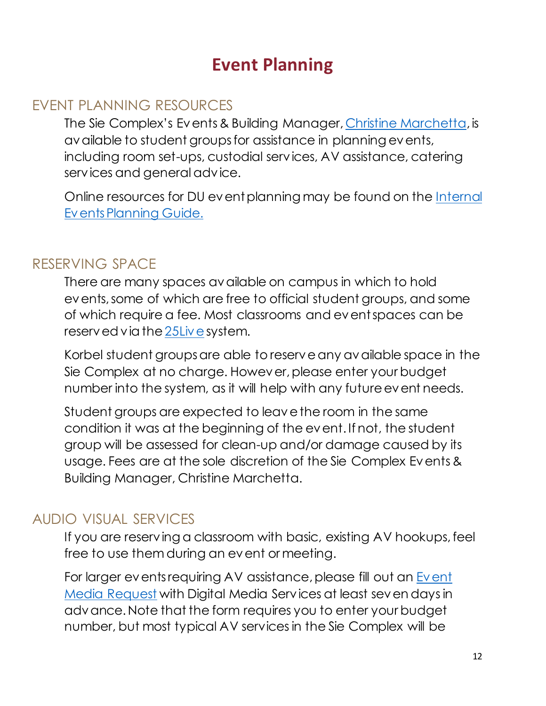### **Event Planning**

#### <span id="page-11-1"></span><span id="page-11-0"></span>EVENT PLANNING RESOURCES

The Sie Complex's Events & Building Manager[, Christine Marchetta](mailto:christine.marchetta@du.edu), is available to student groups for assistance in planning events, including room set-ups, custodial services, AV assistance, catering services and general advice.

Online resources for DU event planning may be found on the [Internal](https://events.du.edu/internal-events/)  [Events Planning Guide.](https://events.du.edu/internal-events/)

#### <span id="page-11-2"></span>RESERVING SPACE

There are many spaces available on campus in which to hold events, some of which are free to official student groups, and some of which require a fee. Most classrooms and event spaces can be reserved via th[e 25Live](https://25live.collegenet.com/du/) system.

Korbel student groups are able to reserve any available space in the Sie Complex at no charge. However, please enter your budget number into the system, as it will help with any future event needs.

Student groups are expected to leave the room in the same condition it was at the beginning of the event. If not, the student group will be assessed for clean-up and/or damage caused by its usage. Fees are at the sole discretion of the Sie Complex Events & Building Manager, Christine Marchetta.

#### <span id="page-11-3"></span>AUDIO VISUAL SERVICES

If you are reserving a classroom with basic, existing AV hookups, feel free to use them during an event or meeting.

For larger events requiring AV assistance, please fill out an Event [Media Request](https://www.du.edu/digital-media-services/event-media-request.html) with Digital Media Services at least seven days in advance. Note that the form requires you to enter your budget number, but most typical AV services in the Sie Complex will be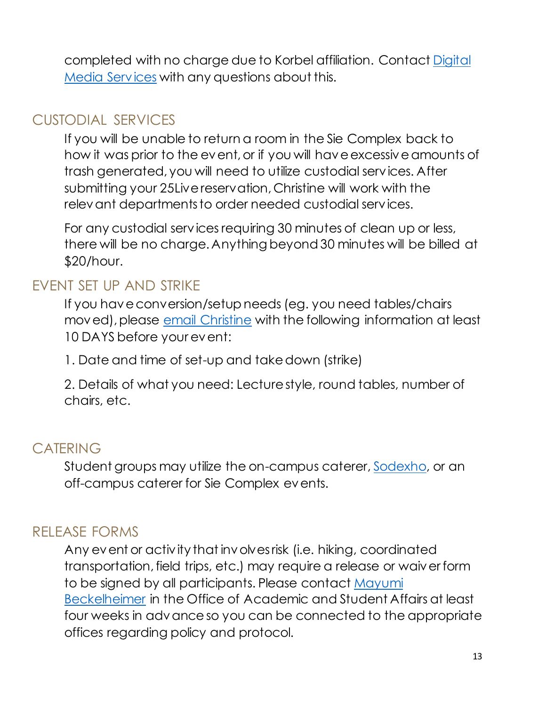completed with no charge due to Korbel affiliation. Contact [Digital](https://www.du.edu/digital-media-services/)  [Media Services](https://www.du.edu/digital-media-services/) with any questions about this.

#### <span id="page-12-0"></span>CUSTODIAL SERVICES

If you will be unable to return a room in the Sie Complex back to how it was prior to the event, or if you will have excessive amounts of trash generated, you will need to utilize custodial services. After submitting your 25Live reservation, Christine will work with the relevant departments to order needed custodial services.

For any custodial services requiring 30 minutes of clean up or less, there will be no charge. Anything beyond 30 minutes will be billed at \$20/hour.

#### <span id="page-12-1"></span>EVENT SET UP AND STRIKE

If you have conversion/setup needs (eg. you need tables/chairs moved), please [email Christine](mailto:christine.marchetta@du.edu) with the following information at least 10 DAYS before your event:

1. Date and time of set-up and take down (strike)

2. Details of what you need: Lecture style, round tables, number of chairs, etc.

#### <span id="page-12-2"></span>**CATERING**

Student groups may utilize the on-campus caterer[, Sodexho,](https://duflavours.catertrax.com/) or an off-campus caterer for Sie Complex events.

#### <span id="page-12-3"></span>RELEASE FORMS

Any event or activity that involves risk (i.e. hiking, coordinated transportation, field trips, etc.) may require a release or waiver form to be signed by all participants. Please contact [Mayumi](mailto:mayumi.beckelheimer@du.edu) Beckelheimer in the Office of Academic and Student Affairs at least four weeks in advance so you can be connected to the appropriate offices regarding policy and protocol.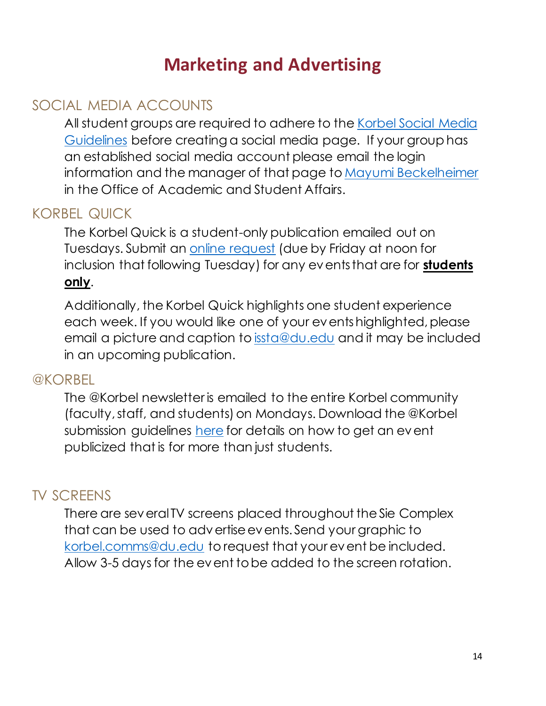## **Marketing and Advertising**

#### <span id="page-13-1"></span><span id="page-13-0"></span>SOCIAL MEDIA ACCOUNTS

All student groups are required to adhere to the [Korbel Social Media](http://portfolio.du.edu/issta/page/52059)  [Guidelines](http://portfolio.du.edu/issta/page/52059) before creating a social media page. If your group has an established social media account please email the login information and the manager of that page t[o Mayumi](mailto:mayumi.beckelheimer@du.edu) Beckelheimer in the Office of Academic and Student Affairs.

#### <span id="page-13-2"></span>KORBEL QUICK

The Korbel Quick is a student-only publication emailed out on Tuesdays. Submit an [online request](http://portfolio.du.edu/issta/page/40288) (due by Friday at noon for inclusion that following Tuesday) for any events that are for **students only**.

Additionally, the Korbel Quick highlights one student experience each week. If you would like one of your events highlighted, please email a picture and caption to [issta@du.edu](mailto:issta@du.edu) and it may be included in an upcoming publication.

#### <span id="page-13-3"></span>@KORBEL

The @Korbel newsletter is emailed to the entire Korbel community (faculty, staff, and students) on Mondays. Download the @Korbel submission guidelines [here](http://portfolio.du.edu/issta/page/40288) for details on how to get an event publicized that is for more than just students.

#### <span id="page-13-4"></span>TV SCREENS

There are several TV screens placed throughout the Sie Complex that can be used to advertise events. Send your graphic to [korbel.comms@du.edu](mailto:korbel.comms@du.edu) to request that your event be included. Allow 3-5 days for the event to be added to the screen rotation.